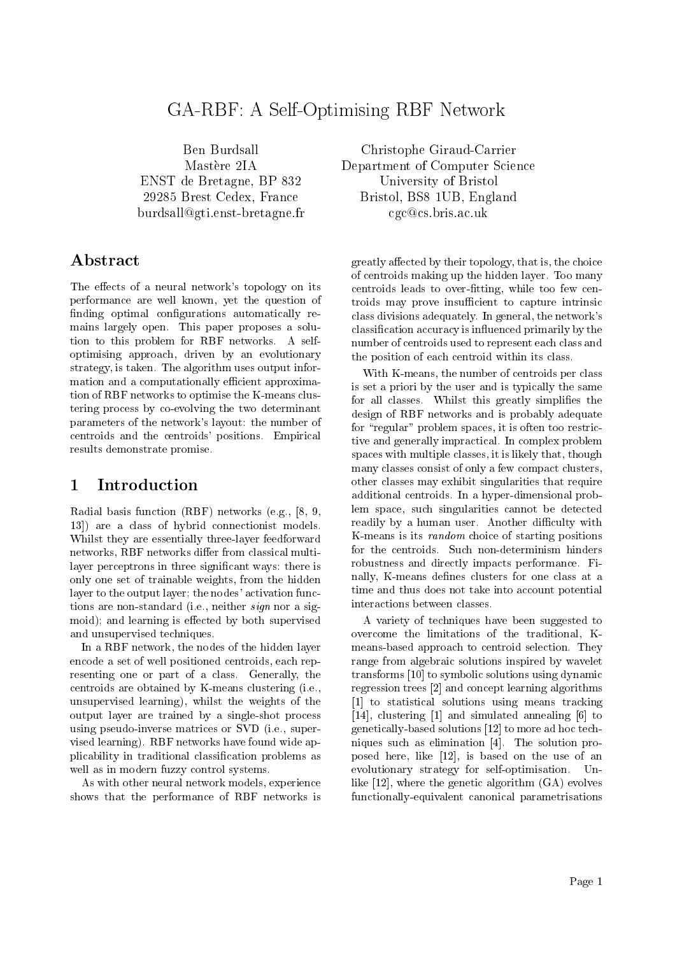# GA-RBF: A Self-Optimising RBF Network

Ben Burdsall Mastère 2IA ENST de Bretagne, BP 832 29285 Brest Cedex, France burdsall@gti.enst-bretagne.fr

# Abstract

The effects of a neural network's topology on its performance are well known, yet the question of finding optimal configurations automatically remains largely open. This paper proposes a solution to this problem for RBF networks. A selfoptimising approach, driven by an evolutionary strategy, is taken. The algorithm uses output information and a computationally efficient approximation of RBF networks to optimise the K-means clustering process by co-evolving the two determinant parameters of the network's layout: the number of centroids and the centroids' positions. Empirical results demonstrate promise.

### $\mathbf 1$ **Introduction**

Radial basis function (RBF) networks (e.g., [8, 9, 13]) are a class of hybrid connectionist models. Whilst they are essentially three-layer feedforward networks, RBF networks differ from classical multilayer perceptrons in three significant ways: there is only one set of trainable weights, from the hidden layer to the output layer; the nodes' activation functions are non-standard (i.e., neither sign nor a sigmoid); and learning is effected by both supervised and unsupervised techniques.

In a RBF network, the nodes of the hidden layer encode a set of well positioned centroids, each representing one or part of a class. Generally, the centroids are obtained by K-means clustering (i.e., unsupervised learning), whilst the weights of the output layer are trained by a single-shot process using pseudo-inverse matrices or SVD (i.e., supervised learning). RBF networks have found wide applicability in traditional classication problems as well as in modern fuzzy control systems.

As with other neural network models, experience shows that the performance of RBF networks is

Christophe Giraud-Carrier Department of Computer Science University of Bristol Bristol, BS8 1UB, England cgc@cs.bris.ac.uk

greatly affected by their topology, that is, the choice of centroids making up the hidden layer. Too many centroids leads to over-fitting, while too few centroids may prove insufficient to capture intrinsic class divisions adequately. In general, the network's classication accuracy is in
uenced primarily by the number of centroids used to represent each class and the position of each centroid within its class.

With K-means, the number of centroids per class is set a priori by the user and is typically the same for all classes. Whilst this greatly simplifies the design of RBF networks and is probably adequate for "regular" problem spaces, it is often too restrictive and generally impractical. In complex problem spaces with multiple classes, it is likely that, though many classes consist of only a few compact clusters, other classes may exhibit singularities that require additional centroids. In a hyper-dimensional problem space, such singularities cannot be detected readily by a human user. Another difficulty with K-means is its random choice of starting positions for the centroids. Such non-determinism hinders robustness and directly impacts performance. Finally, K-means defines clusters for one class at a time and thus does not take into account potential interactions between classes.

A variety of techniques have been suggested to overcome the limitations of the traditional, Kmeans-based approach to centroid selection. They range from algebraic solutions inspired by wavelet transforms [10] to symbolic solutions using dynamic regression trees [2] and concept learning algorithms [1] to statistical solutions using means tracking [14], clustering [1] and simulated annealing [6] to genetically-based solutions [12] to more ad hoc techniques such as elimination [4]. The solution proposed here, like [12], is based on the use of an evolutionary strategy for self-optimisation. Unlike [12], where the genetic algorithm (GA) evolves functionally-equivalent canonical parametrisations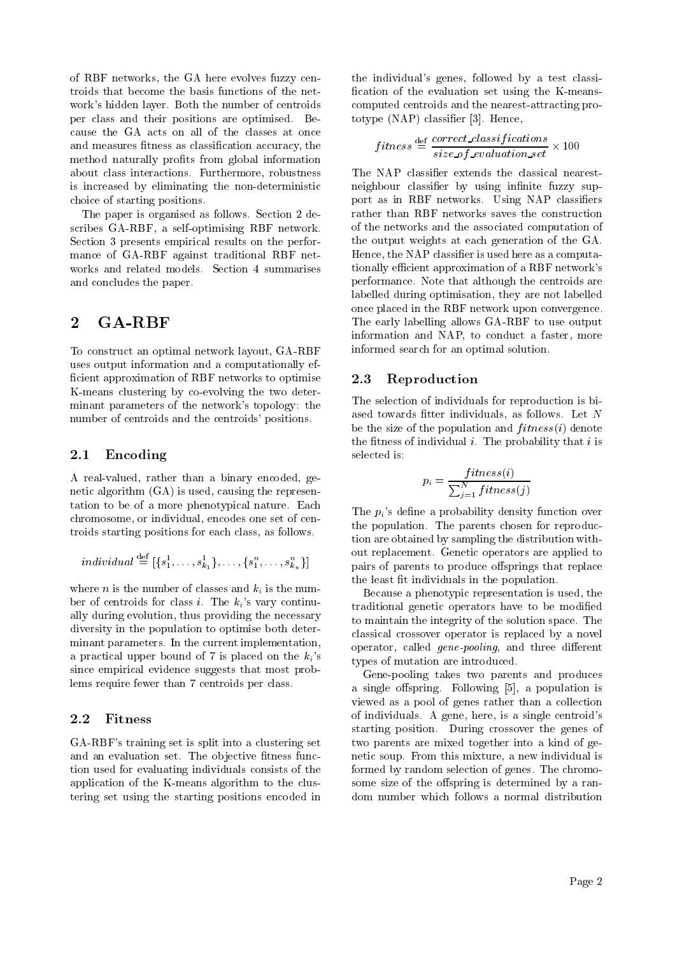of RBF networks, the GA here evolves fuzzy centroids that become the basis functions of the net work's hidden layer. Both the number of centroids per class and their positions are optimised. Because the GA acts on all of the classes at once and measures fitness as classification accuracy, the method naturally profits from global information about class interactions. Furthermore, robustness is increased by eliminating the non-deterministic choice of starting positions.

The paper is organised as follows. Section 2 describes GA-RBF, a self-optimising RBF network. Section 3 presents empirical results on the performance of GA-RBF against traditional RBF net-works and related models. Section 4 summarises and concludes the paper.

### $GA$ - $RBF$  $\overline{2}$

To construct an optimal network layout, GA-RBF uses output information and a computationally ef ficient approximation of RBF networks to optimise K-means clustering by co-evolving the two determinant parameters of the network's topology: the number of centroids and the centroids' positions.

#### 2.1Encoding

A real-valued, rather than a binary encoded, genetic algorithm (GA) is used, causing the representation to be of a more phenotypical nature. Each chromosome, or individual, encodes one set of centroids starting positions for each class, as follows.

$$
individual \stackrel{\text{def}}{=} [\{s_1^1, \ldots, s_{k_1}^1\}, \ldots, \{s_1^n, \ldots, s_{k_n}^n\}]
$$

where *n* is the number of classes and  $k_i$  is the number of centroids for class i. The  $k_i$ 's vary continually during evolution, thus providing the necessary diversity in the population to optimise both determinant parameters. In the current implementation, a practical upper bound of 7 is placed on the  $k_i$ 's since empirical evidence suggests that most problems require fewer than 7 centroids per class.

#### 2.2Fitness

GA-RBF's training set is split into a clustering set and an evaluation set. The objective fitness function used for evaluating individuals consists of the application of the K-means algorithm to the clustering set using the starting positions encoded in

the individual's genes, followed by a test classi fication of the evaluation set using the K-meanscomputed centroids and the nearest-attracting prototype (NAP) classier [3]. Hence,

$$
fitness \stackrel{\text{def}}{=} \frac{correct\_classifications}{size\_of\_evaluation\_set} \times 100
$$

The NAP classifier extends the classical nearestneighbour classifier by using infinite fuzzy support as in RBF networks. Using NAP classifiers rather than RBF networks saves the construction of the networks and the associated computation of the output weights at each generation of the GA. Hence, the NAP classifier is used here as a computationally efficient approximation of a RBF network's performance. Note that although the centroids are labelled during optimisation, they are not labelled once placed in the RBF network upon convergence. The early labelling allows GA-RBF to use output information and NAP, to conduct a faster, more informed search for an optimal solution.

#### 2.3Reproduction

The selection of individuals for reproduction is biased towards fitter individuals, as follows. Let  $N$ be the size of the population and  $fitness(i)$  denote the fitness of individual  $i$ . The probability that  $i$  is selected is:

$$
p_i = \frac{fitness(i)}{\sum_{j=1}^{N} fitness(j)}
$$

The  $p_i$ 's define a probability density function over the population. The parents chosen for reproduction are obtained by sampling the distribution without replacement. Genetic operators are applied to pairs of parents to produce offsprings that replace the least fit individuals in the population.

Because a phenotypic representation is used, the traditional genetic operators have to be modified to maintain the integrity of the solution space. The classical crossover operator is replaced by a novel operator, called *gene-pooling*, and three different types of mutation are introduced.

Gene-pooling takes two parents and produces a single offspring. Following  $[5]$ , a population is viewed as a pool of genes rather than a collection of individuals. A gene, here, is a single centroid's starting position. During crossover the genes of two parents are mixed together into a kind of genetic soup. From this mixture, a new individual is formed by random selection of genes. The chromosome size of the offspring is determined by a random number which follows a normal distribution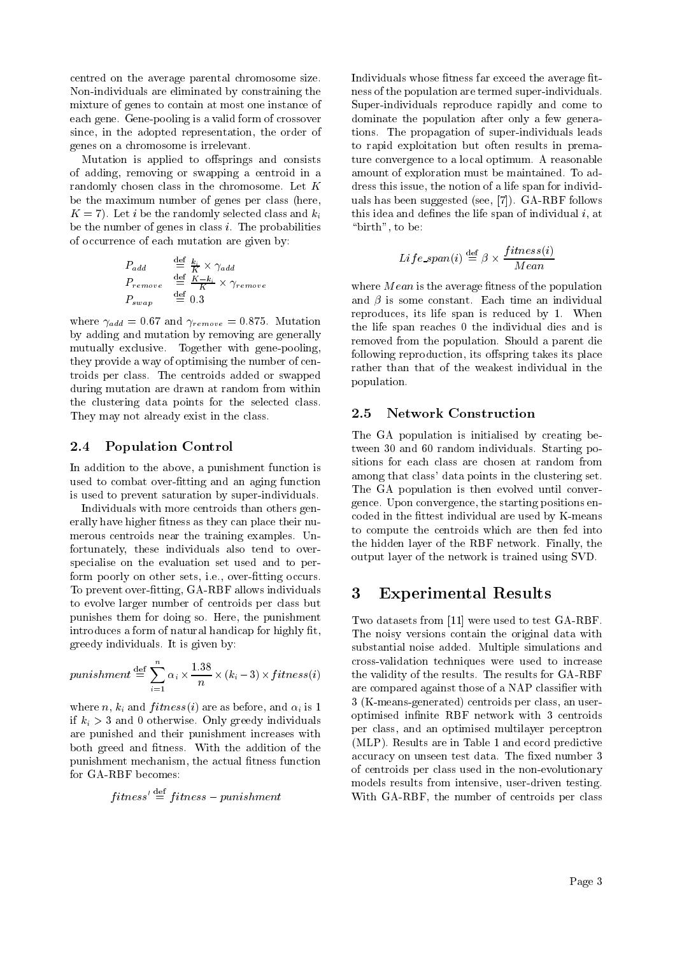centred on the average parental chromosome size. Non-individuals are eliminated by constraining the mixture of genes to contain at most one instance of each gene. Gene-pooling is a valid form of crossover since, in the adopted representation, the order of genes on a chromosome is irrelevant.

Mutation is applied to offsprings and consists of adding, removing or swapping a centroid in a randomly chosen class in the chromosome. Let  $K$ be the maximum number of genes per class (here,  $K = 7$ ). Let i be the randomly selected class and  $k_i$ be the number of genes in class  $i$ . The probabilities of occurrence of each mutation are given by:

$$
P_{add} \stackrel{\text{def}}{=} \frac{k_i}{K} \times \gamma_{add}
$$
  
\n
$$
P_{remove} \stackrel{\text{def}}{=} \frac{K - k_i}{K} \times \gamma_{remove}
$$
  
\n
$$
P_{swap} \stackrel{\text{def}}{=} 0.3
$$

where  $\gamma_{add} = 0.67$  and  $\gamma_{remove} = 0.875$ . Mutation by adding and mutation by removing are generally mutually exclusive. Together with gene-pooling, they provide a way of optimising the number of centroids per class. The centroids added or swapped during mutation are drawn at random from within the clustering data points for the selected class. They may not already exist in the class.

#### 2.4Population Control

In addition to the above, a punishment function is used to combat over-fitting and an aging function is used to prevent saturation by super-individuals.

Individuals with more centroids than others generally have higher fitness as they can place their numerous centroids near the training examples. Unfortunately, these individuals also tend to overspecialise on the evaluation set used and to perform poorly on other sets, i.e., over-fitting occurs. To prevent over-fitting, GA-RBF allows individuals 3 to evolve larger number of centroids per class but punishes them for doing so. Here, the punishment introduces a form of natural handicap for highly fit, greedy individuals. It is given by:

$$
punishment \stackrel{\text{def}}{=} \sum_{i=1}^{n} \alpha_i \times \frac{1.38}{n} \times (k_i - 3) \times fitness(i)
$$

where n,  $k_i$  and fitness(i) are as before, and  $\alpha_i$  is 1 if  $k_i > 3$  and 0 otherwise. Only greedy individuals are punished and their punishment increases with both greed and fitness. With the addition of the punishment mechanism, the actual fitness function for GA-RBF becomes:

$$
fitness' \stackrel{\text{def}}{=} fitness-punishment
$$

Individuals whose fitness far exceed the average fitness of the population are termed super-individuals. Super-individuals reproduce rapidly and come to dominate the population after only a few generations. The propagation of super-individuals leads to rapid exploitation but often results in premature convergence to a local optimum. A reasonable amount of exploration must be maintained. To address this issue, the notion of a life span for individuals has been suggested (see, [7]). GA-RBF follows this idea and defines the life span of individual  $i$ , at " $\text{birth}$ ", to be:

$$
Life\_span(i) \stackrel{\text{def}}{=} \beta \times \frac{fitness(i)}{Mean}
$$

where  $Mean$  is the average fitness of the population and  $\beta$  is some constant. Each time an individual reproduces, its life span is reduced by 1. When the life span reaches 0 the individual dies and is removed from the population. Should a parent die following reproduction, its offspring takes its place rather than that of the weakest individual in the population.

#### 2.5Network Construction

The GA population is initialised by creating between 30 and 60 random individuals. Starting positions for each class are chosen at random from among that class' data points in the clustering set. The GA population is then evolved until convergence. Upon convergence, the starting positions encoded in the fittest individual are used by K-means to compute the centroids which are then fed into the hidden layer of the RBF network. Finally, the output layer of the network is trained using SVD.

### **Experimental Results**

Two datasets from [11] were used to test GA-RBF. The noisy versions contain the original data with substantial noise added. Multiple simulations and cross-validation techniques were used to increase the validity of the results. The results for GA-RBF are compared against those of a NAP classifier with 3 (K-means-generated) centroids per class, an useroptimised infinite RBF network with 3 centroids per class, and an optimised multilayer perceptron (MLP). Results are in Table 1 and ecord predictive accuracy on unseen test data. The fixed number 3 of centroids per class used in the non-evolutionary models results from intensive, user-driven testing. With GA-RBF, the number of centroids per class